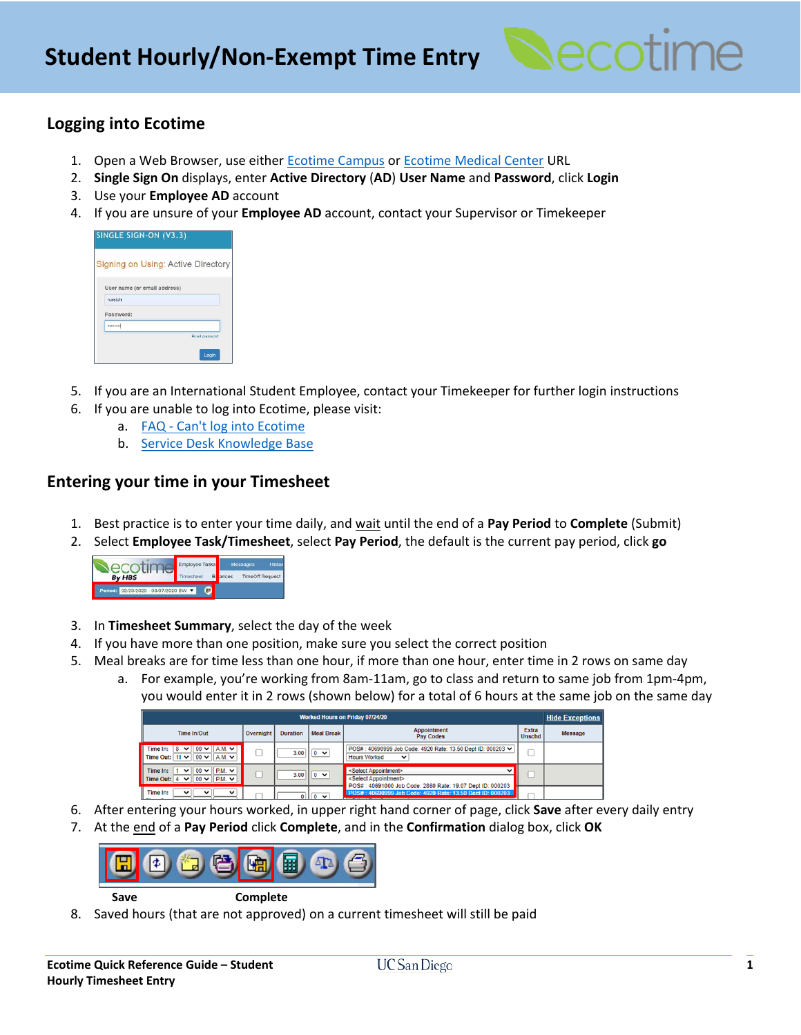

# **Logging into Ecotime**

- 1. Open a Web Browser, use eithe[r Ecotime Campus](https://ecotimecampus.ucsd.edu/) or [Ecotime Medical Center](https://ucsdmed.ecotimebyhbs.com/EcotimeSSO/) URL
- 2. **Single Sign On** displays, enter **Active Directory** (**AD**) **User Name** and **Password**, click **Login**
- 3. Use your **Employee AD** account
- 4. If you are unsure of your **Employee AD** account, contact your Supervisor or Timekeeper

| User name (or email address) |  |
|------------------------------|--|
| rursich                      |  |
| Password:                    |  |
| ********                     |  |

- 5. If you are an International Student Employee, contact your Timekeeper for further login instructions
- 6. If you are unable to log into Ecotime, please visit:
	- a. FAQ [Can't log into Ecotime](https://blink.ucsd.edu/finance/payroll/timekeeping/ecotime/faq/index.html#I-Can)
		- b. [Service Desk Knowledge Base](https://ucsdservicedesk.service-now.com/its?id=kb_article_view&sys_kb_id=8bcadfc0db3b7f806576785e0f96197a)

### **Entering your time in your Timesheet**

- 1. Best practice is to enter your time daily, and wait until the end of a **Pay Period** to **Complete** (Submit)
- 2. Select **Employee Task/Timesheet**, select **Pay Period**, the default is the current pay period, click **go**

|                                      | Employee Tasks |       | Messages               |
|--------------------------------------|----------------|-------|------------------------|
| <b>By HBS</b>                        |                | ances | <b>TimeOff Request</b> |
| Period: 02/23/2020 - 03/07/2020 BW Y |                |       |                        |

- 3. In **Timesheet Summary**, select the day of the week
- 4. If you have more than one position, make sure you select the correct position
- 5. Meal breaks are for time less than one hour, if more than one hour, enter time in 2 rows on same day
	- a. For example, you're working from 8am-11am, go to class and return to same job from 1pm-4pm, you would enter it in 2 rows (shown below) for a total of 6 hours at the same job on the same day

| <b>Worked Hours on Friday 07/24/20</b><br><b>Hide Exceptions</b>                                               |           |                 |                         |                                                                                                                                                                |                        |         |  |
|----------------------------------------------------------------------------------------------------------------|-----------|-----------------|-------------------------|----------------------------------------------------------------------------------------------------------------------------------------------------------------|------------------------|---------|--|
| Time In/Out                                                                                                    | Overnight | <b>Duration</b> | <b>Meal Break</b>       | <b>Appointment</b><br><b>Pay Codes</b>                                                                                                                         | Extra<br><b>Unschd</b> | Message |  |
| Time $\ln: 8$<br>$00 \vee$ A.M. $\vee$<br>び<br>Time Out: $11 \vee 00 \vee \dots \vee 1$ A.M. $\vee$            |           |                 | $3.00$ 0 $\vee$         | POS#: 40690999 Job Code: 4920 Rate: 13.50 Dept ID: 000203 v<br><b>Hours Worked</b><br>$\check{ }$                                                              |                        |         |  |
| $00 \vee$ P.M. $\vee$<br>Time In: 1<br>$\vee$ $\mathbb{I}$<br>$\vee$ 100 $\vee$ 1 P.M. $\vee$ 1<br>Time Out: 4 |           |                 | $3.00$     0 $\sqrt{ }$ | <select appointment=""><br/><math>\check{ }</math><br/><select appointment=""><br/>POS#: 40691000 Job Code: 2860 Rate: 19.07 Dept ID: 000203</select></select> |                        |         |  |
| Time In:<br>$\check{ }$<br>$\checkmark$<br>◡                                                                   |           |                 | $\sim$                  | POS#: 40690999 Job Code: 4920 Rate: 13.50 Dept ID: 000203                                                                                                      |                        |         |  |

- 6. After entering your hours worked, in upper right hand corner of page, click **Save** after every daily entry
- 7. At the end of a **Pay Period** click **Complete**, and in the **Confirmation** dialog box, click **OK**



**Save Complete**

8. Saved hours (that are not approved) on a current timesheet will still be paid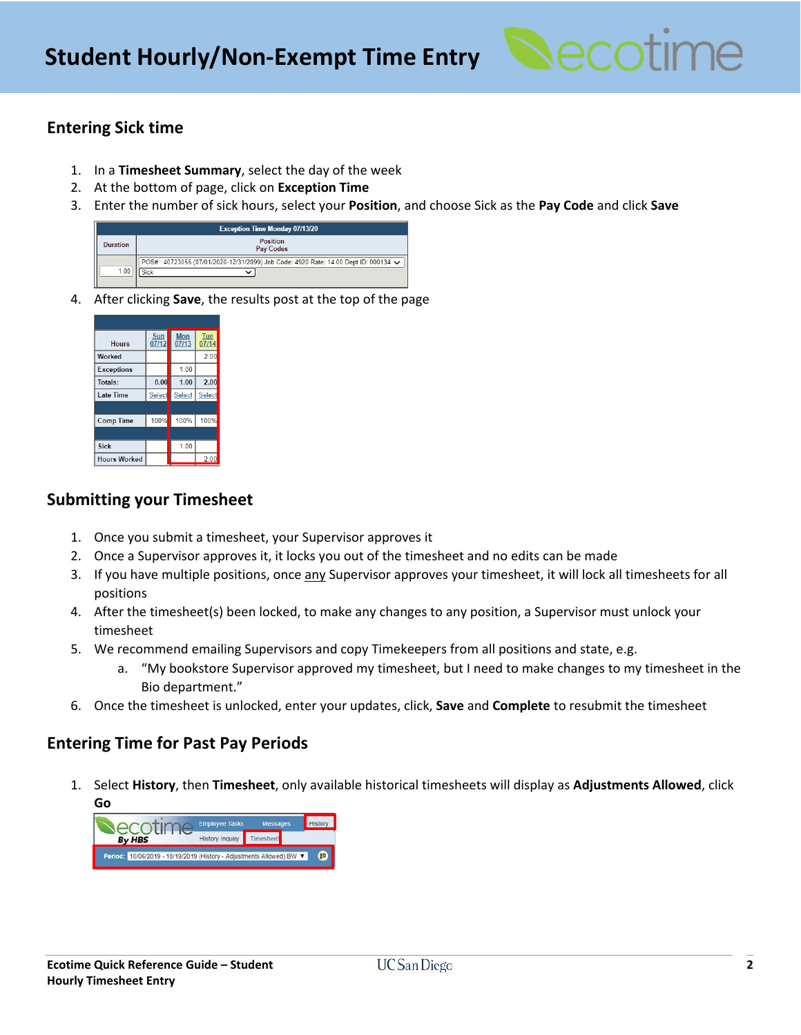

## **Entering Sick time**

- 1. In a **Timesheet Summary**, select the day of the week
- 2. At the bottom of page, click on **Exception Time**
- 3. Enter the number of sick hours, select your **Position**, and choose Sick as the **Pay Code** and click **Save**

| <b>Exception Time Monday 07/13/20</b> |                                                                                                     |  |  |  |  |  |  |  |
|---------------------------------------|-----------------------------------------------------------------------------------------------------|--|--|--|--|--|--|--|
| Duration                              | Position<br>Pay Codes                                                                               |  |  |  |  |  |  |  |
| 1.00                                  | POS#: 40723055 (07/01/2020-12/31/2099) Job Code: 4920 Rate: 14.00 Dept ID: 000134 $\checkmark$<br>◡ |  |  |  |  |  |  |  |

4. After clicking **Save**, the results post at the top of the page

| <b>Hours</b>        | Sun<br>07/12 | Mon<br>07/13 | Tue<br>07/14 |
|---------------------|--------------|--------------|--------------|
| Worked              |              |              | 2.00         |
| Exceptions          |              | 1.00         |              |
| Totals:             | 0.00         | 1.00         | 2.00         |
| Late Time           | Select       | Select       | Select       |
|                     |              |              |              |
| Comp Time           | 100%         | 100%         | 100%         |
|                     |              |              |              |
| <b>Sick</b>         |              | 1.00         |              |
| <b>Hours Worked</b> |              |              | 2.00         |

### **Submitting your Timesheet**

- 1. Once you submit a timesheet, your Supervisor approves it
- 2. Once a Supervisor approves it, it locks you out of the timesheet and no edits can be made
- 3. If you have multiple positions, once any Supervisor approves your timesheet, it will lock all timesheets for all positions
- 4. After the timesheet(s) been locked, to make any changes to any position, a Supervisor must unlock your timesheet
- 5. We recommend emailing Supervisors and copy Timekeepers from all positions and state, e.g.
	- a. "My bookstore Supervisor approved my timesheet, but I need to make changes to my timesheet in the Bio department."
- 6. Once the timesheet is unlocked, enter your updates, click, **Save** and **Complete** to resubmit the timesheet

### **Entering Time for Past Pay Periods**

1. Select **History**, then **Timesheet**, only available historical timesheets will display as **Adjustments Allowed**, click **Go**